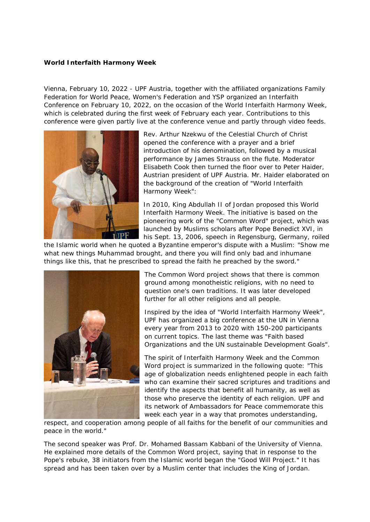## **World Interfaith Harmony Week**

Vienna, February 10, 2022 - UPF Austria, together with the affiliated organizations Family Federation for World Peace, Women's Federation and YSP organized an Interfaith Conference on February 10, 2022, on the occasion of the World Interfaith Harmony Week, which is celebrated during the first week of February each year. Contributions to this conference were given partly live at the conference venue and partly through video feeds.



Rev. Arthur Nzekwu of the Celestial Church of Christ opened the conference with a prayer and a brief introduction of his denomination, followed by a musical performance by James Strauss on the flute. Moderator Elisabeth Cook then turned the floor over to Peter Haider, Austrian president of UPF Austria. Mr. Haider elaborated on the background of the creation of "World Interfaith Harmony Week":

In 2010, King Abdullah II of Jordan proposed this World Interfaith Harmony Week. The initiative is based on the pioneering work of the "Common Word" project, which was launched by Muslims scholars after Pope Benedict XVI, in his Sept. 13, 2006, speech in Regensburg, Germany, roiled

the Islamic world when he quoted a Byzantine emperor's dispute with a Muslim: "Show me what new things Muhammad brought, and there you will find only bad and inhumane things like this, that he prescribed to spread the faith he preached by the sword."



The Common Word project shows that there is common ground among monotheistic religions, with no need to question one's own traditions. It was later developed further for all other religions and all people.

Inspired by the idea of "World Interfaith Harmony Week", UPF has organized a big conference at the UN in Vienna every year from 2013 to 2020 with 150-200 participants on current topics. The last theme was "Faith based Organizations and the UN sustainable Development Goals".

The spirit of Interfaith Harmony Week and the Common Word project is summarized in the following quote: "This age of globalization needs enlightened people in each faith who can examine their sacred scriptures and traditions and identify the aspects that benefit all humanity, as well as those who preserve the identity of each religion. UPF and its network of Ambassadors for Peace commemorate this week each year in a way that promotes understanding,

respect, and cooperation among people of all faiths for the benefit of our communities and peace in the world."

The second speaker was Prof. Dr. Mohamed Bassam Kabbani of the University of Vienna. He explained more details of the Common Word project, saying that in response to the Pope's rebuke, 38 initiators from the Islamic world began the "Good Will Project." It has spread and has been taken over by a Muslim center that includes the King of Jordan.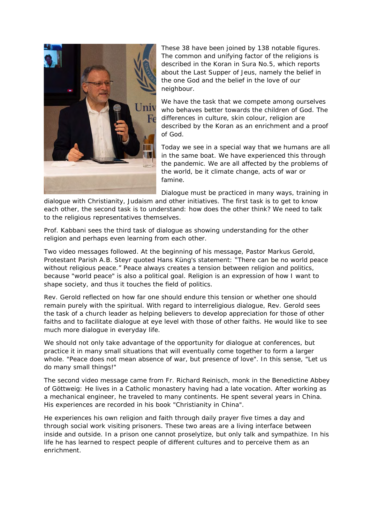

These 38 have been joined by 138 notable figures. The common and unifying factor of the religions is described in the Koran in Sura No.5, which reports about the Last Supper of Jeus, namely the belief in the one God and the belief in the love of our neighbour.

We have the task that we compete among ourselves who behaves better towards the children of God. The differences in culture, skin colour, religion are described by the Koran as an enrichment and a proof of God.

Today we see in a special way that we humans are all in the same boat. We have experienced this through the pandemic. We are all affected by the problems of the world, be it climate change, acts of war or famine.

Dialogue must be practiced in many ways, training in

dialogue with Christianity, Judaism and other initiatives. The first task is to get to know each other, the second task is to understand: how does the other think? We need to talk to the religious representatives themselves.

Prof. Kabbani sees the third task of dialogue as showing understanding for the other religion and perhaps even learning from each other.

Two video messages followed. At the beginning of his message, Pastor Markus Gerold, Protestant Parish A.B. Steyr quoted Hans Küng's statement: "There can be no world peace without religious peace." Peace always creates a tension between religion and politics, because "world peace" is also a political goal. Religion is an expression of how I want to shape society, and thus it touches the field of politics.

Rev. Gerold reflected on how far one should endure this tension or whether one should remain purely with the spiritual. With regard to interreligious dialogue, Rev. Gerold sees the task of a church leader as helping believers to develop appreciation for those of other faiths and to facilitate dialogue at eye level with those of other faiths. He would like to see much more dialogue in everyday life.

We should not only take advantage of the opportunity for dialogue at conferences, but practice it in many small situations that will eventually come together to form a larger whole. "Peace does not mean absence of war, but presence of love". In this sense, "Let us do many small things!"

The second video message came from Fr. Richard Reinisch, monk in the Benedictine Abbey of Göttweig: He lives in a Catholic monastery having had a late vocation. After working as a mechanical engineer, he traveled to many continents. He spent several years in China. His experiences are recorded in his book "Christianity in China".

He experiences his own religion and faith through daily prayer five times a day and through social work visiting prisoners. These two areas are a living interface between inside and outside. In a prison one cannot proselytize, but only talk and sympathize. In his life he has learned to respect people of different cultures and to perceive them as an enrichment.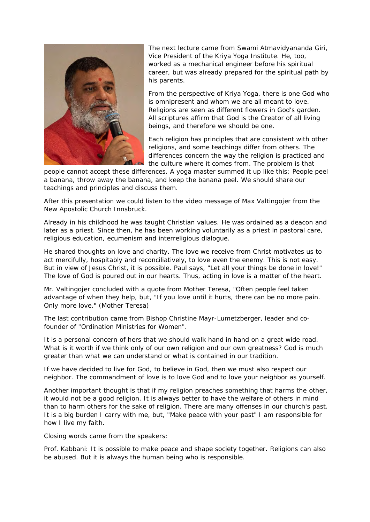

The next lecture came from Swami Atmavidyananda Giri, Vice President of the Kriya Yoga Institute. He, too, worked as a mechanical engineer before his spiritual career, but was already prepared for the spiritual path by his parents.

From the perspective of Kriya Yoga, there is one God who is omnipresent and whom we are all meant to love. Religions are seen as different flowers in God's garden. All scriptures affirm that God is the Creator of all living beings, and therefore we should be one.

Each religion has principles that are consistent with other religions, and some teachings differ from others. The differences concern the way the religion is practiced and the culture where it comes from. The problem is that

people cannot accept these differences. A yoga master summed it up like this: People peel a banana, throw away the banana, and keep the banana peel. We should share our teachings and principles and discuss them.

After this presentation we could listen to the video message of Max Valtingojer from the New Apostolic Church Innsbruck.

Already in his childhood he was taught Christian values. He was ordained as a deacon and later as a priest. Since then, he has been working voluntarily as a priest in pastoral care, religious education, ecumenism and interreligious dialogue.

He shared thoughts on love and charity. The love we receive from Christ motivates us to act mercifully, hospitably and reconciliatively, to love even the enemy. This is not easy. But in view of Jesus Christ, it is possible. Paul says, "Let all your things be done in love!" The love of God is poured out in our hearts. Thus, acting in love is a matter of the heart.

Mr. Valtingojer concluded with a quote from Mother Teresa, "Often people feel taken advantage of when they help, but, "If you love until it hurts, there can be no more pain. Only more love." (Mother Teresa)

The last contribution came from Bishop Christine Mayr-Lumetzberger, leader and cofounder of "Ordination Ministries for Women".

It is a personal concern of hers that we should walk hand in hand on a great wide road. What is it worth if we think only of our own religion and our own greatness? God is much greater than what we can understand or what is contained in our tradition.

If we have decided to live for God, to believe in God, then we must also respect our neighbor. The commandment of love is to love God and to love your neighbor as yourself.

Another important thought is that if my religion preaches something that harms the other, it would not be a good religion. It is always better to have the welfare of others in mind than to harm others for the sake of religion. There are many offenses in our church's past. It is a big burden I carry with me, but, "Make peace with your past" I am responsible for how I live my faith.

Closing words came from the speakers:

Prof. Kabbani: It is possible to make peace and shape society together. Religions can also be abused. But it is always the human being who is responsible.